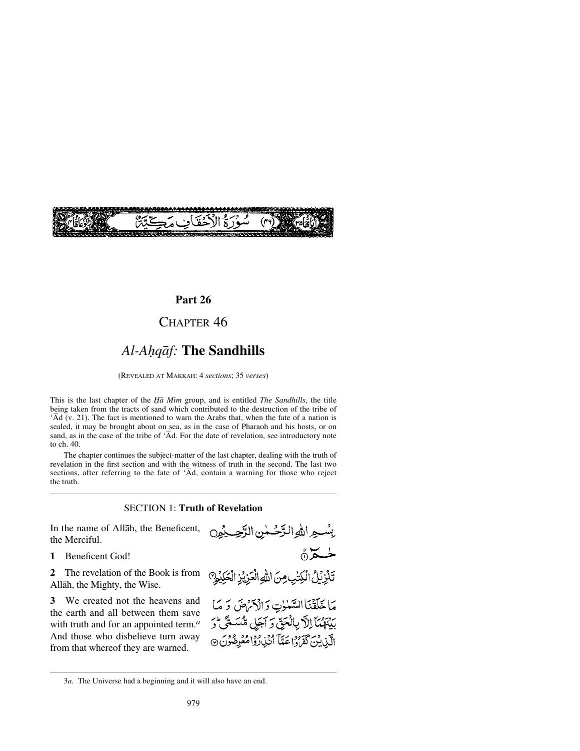

## **Part 26**

## CHAPTER 46

# *Al-Aƒqåf:* **The Sandhills**

(REVEALED AT MAKKAH: 4 *sections*; 35 *verses*)

This is the last chapter of the *Ïå Mßm* group, and is entitled *The Sandhills*, the title being taken from the tracts of sand which contributed to the destruction of the tribe of 'Åd (v. 21). The fact is mentioned to warn the Arabs that, when the fate of a nation is sealed, it may be brought about on sea, as in the case of Pharaoh and his hosts, or on sand, as in the case of the tribe of  $\overline{A}d$ . For the date of revelation, see introductory note to ch. 40.

The chapter continues the subject-matter of the last chapter, dealing with the truth of revelation in the first section and with the witness of truth in the second. The last two sections, after referring to the fate of  $\overline{A}d$ , contain a warning for those who reject the truth.

### SECTION 1: **Truth of Revelation**

In the name of Allåh, the Beneficent, the Merciful.

**1** Beneficent God!

**2** The revelation of the Book is from Allåh, the Mighty, the Wise.

**3** We created not the heavens and the earth and all between them save with truth and for an appointed term.*<sup>a</sup>* And those who disbelieve turn away from that whereof they are warned.



<sup>3</sup>*a.* The Universe had a beginning and it will also have an end.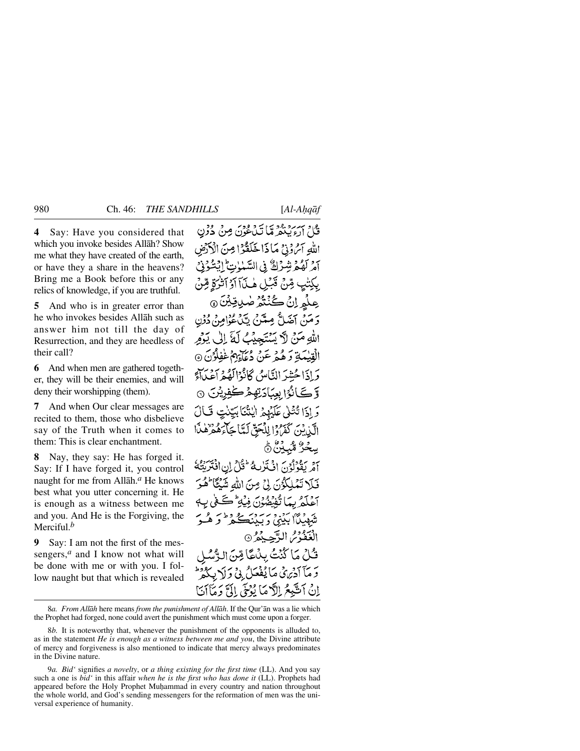**4** Say: Have you considered that which you invoke besides Allåh? Show me what they have created of the earth, or have they a share in the heavens? Bring me a Book before this or any relics of knowledge, if you are truthful.

**5** And who is in greater error than he who invokes besides Allåh such as answer him not till the day of Resurrection, and they are heedless of their call?

**6** And when men are gathered together, they will be their enemies, and will deny their worshipping (them).

**7** And when Our clear messages are recited to them, those who disbelieve say of the Truth when it comes to them: This is clear enchantment.

**8** Nay, they say: He has forged it. Say: If I have forged it, you control naught for me from Allåh.*<sup>a</sup>* He knows best what you utter concerning it. He is enough as a witness between me and you. And He is the Forgiving, the Merciful.*<sup>b</sup>*

**9** Say: I am not the first of the messengers,<sup>*a*</sup> and I know not what will be done with me or with you. I follow naught but that which is revealed

قُلْ آرْءِ بِبَعْدِ مَّا تَيْݣُونَ مِنْ دُرْنِ اللهِ آمُ وُدْيُ مَا ذَا خَلَقَوْا مِنَ الْأَدْضَ آمْرِ لَهُمْ بِنْسِرْكٌ فِي السَّيْبَاتِ الْبَشْرُنِي بِكِتْبٍ مِّنْ قَبْلِ لَهِ بِيّ] آدُ آَتَرَكُمْ قِبْنَ عِلْمِ اِنْ كُنْتُمْ صٰلاِقِيْنَ @ وَ مَنْ آخَيلٌ مِيتَنْ تَلْجُوْامِنْ دُوْن اللهِ مَنْ لاَّ يَسْتَجِيْبُ لَمَّ إِلَى يَوْمِر الْقِيْمَةِ وَهُدْمٍ عَنْ دُعَاءِهِمْ غَفِلْوُنَ ۞ وَ إِذَا حُشِرَ النَّاسُ كَانُوْالَعُهُمْ أَعْبَدَاءَ وَ کَے ٰنُوۡا بِعَیۡاٰدَتِهِمۡ کَفِیۡنِیۡنَ وَ إِذَا تُثْلَىٰ عَلَيْهِمْ الْيُثْنَابِيَّتِيْتِ فَ الآيِدِينَ كَفَرَوْا لِلْحَقِّ لَمَّا جَآءَهُمْ لِهِ الْمَا ڛڂۯ۠ۺ۠ڹۣؿ۠ڽ۠ يَقْدُلُهُ، إِنْيَتَرَبِيهُ ثَقُلُ إِنِ اِنْتَرَبَّتُهُ

فَلَا تَمَلِكُوُنَ لِيُ مِنَ اللَّهِ شَيْئًا لَّهُ بِيَا تُفْضُدُنَ فِيَهِ مُحَتَّ شهديٌا بَدِي دِ سَنَڌٍ عَ دِ اَ الْعَفْوْسُ الرَّحِيْمُ @ فَكَّلْ مَا كَنْتُ ُ وَ مَأَ أَدْيَرَيْ مَأْ يُفْعَلُ ۚ بِي وَ لَهَ إِنْ أَتَتَّبِعُ إِلَاَّ مَا بُوْحَى إِلَمَّ دَمَآ

8*a. From Allåh* here means *from the punishment of Allåh*. If the Qur'ån was a lie which the Prophet had forged, none could avert the punishment which must come upon a forger.

8*b.* It is noteworthy that, whenever the punishment of the opponents is alluded to, as in the statement *He is enough as a witness between me and you*, the Divine attribute of mercy and forgiveness is also mentioned to indicate that mercy always predominates in the Divine nature.

9*a. Bid'* signifies *a novelty*, or *a thing existing for the first time* (LL). And you say such a one is *bid'* in this affair *when he is the first who has done it* (LL). Prophets had appeared before the Holy Prophet Muḥammad in every country and nation throughout the whole world, and God's sending messengers for the reformation of men was the universal experience of humanity.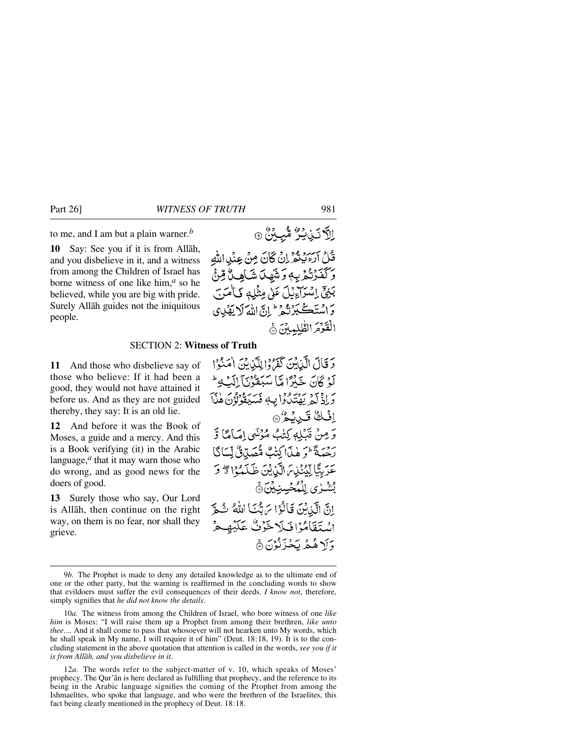to me, and I am but a plain warner.*<sup>b</sup>*

**10** Say: See you if it is from Allåh, and you disbelieve in it, and a witness from among the Children of Israel has borne witness of one like him,*<sup>a</sup>* so he believed, while you are big with pride. Surely Allåh guides not the iniquitous people.

# الآنَ نَبْشِرٌ مُّبِينٌ ۞ قُلْ أَرْءَيْتُمَرِّ إِنْ كَانَ مِنْ عِنْدِاللَّهِ وَكَفَّزْتُكْرُبِهِ وَشَهِدَ شَاهِدٌ قِنْ بَنِيٍّ إِسْرَاءِيْلَ عَلَى مِثْلِهِ فَبَامَنَ وَاسْتَكْبَرْنَّهُمْ ۖ إِنَّ اللَّهَ لَا يَهْدِي الْقَوْمَ الطُّلمِينَ جَ

## SECTION 2: **Witness of Truth**

**11** And those who disbelieve say of those who believe: If it had been a good, they would not have attained it before us. And as they are not guided thereby, they say: It is an old lie.

**12** And before it was the Book of Moses, a guide and a mercy. And this is a Book verifying (it) in the Arabic language,*<sup>a</sup>* that it may warn those who do wrong, and as good news for the doers of good.

**13** Surely those who say, Our Lord is Allåh, then continue on the right way, on them is no fear, nor shall they grieve.

دَ قَالَ الَّذِيْنَ كَفَرُوْا لِلَّذِينَ اٰمَنُوْا لَوْ ݣَانَ خَلْرًا مَّا سَبَقّْوُنَّ إِلَيْ مِمْ لَهِ مِنْ رَّ إِذْ لَمْ يَهْتَدُوا بِهِ مُسَيَقَوْلُوْنَ هٰذَا اِفْكُ تَيْبِيْكُرْ® وَمِنْ قَبْلِهِ كِتْبُ مُؤْسَى إِمَامًا وَّ رديةً و هٰذَاكِتْبٌ مُّصَلِّيْنٌ لِّسَاكَا عَرَبِيًّا لِيُنْذِينَ الَّذِينَ ظَلَمْوْا \* وَ ڹٞۺٛڔ۬ۑ ڸڷؠؙڂڛڹۣڋۣڹۜ۞ إِنَّ الَّذِيْنَ قَالُوْا مَ بَّنَا اللَّهُ شُمَّ اسْتَقَامُوْافْلَا خَوْتٌ عَلَيْهِ حُرْ وَأَ\ هُمْ يَخْزَنُوْنَ هَ

<sup>9</sup>*b.* The Prophet is made to deny any detailed knowledge as to the ultimate end of one or the other party, but the warning is reaffirmed in the concluding words to show that evildoers must suffer the evil consequences of their deeds. *I know not*, therefore, simply signifies that *he did not know the details*.

<sup>10</sup>*a.* The witness from among the Children of Israel, who bore witness of one *like him* is Moses: "I will raise them up a Prophet from among their brethren, *like unto thee*.... And it shall come to pass that whosoever will not hearken unto My words, which he shall speak in My name, I will require it of him" (Deut. 18:18, 19). It is to the concluding statement in the above quotation that attention is called in the words, *see you if it is from Allåh, and you disbelieve in it*.

<sup>12</sup>*a.* The words refer to the subject-matter of v. 10, which speaks of Moses' prophecy. The Qur'ån is here declared as fulfilling that prophecy, and the reference to its being in the Arabic language signifies the coming of the Prophet from among the Ishmaelites, who spoke that language, and who were the brethren of the Israelites, this fact being clearly mentioned in the prophecy of Deut. 18:18.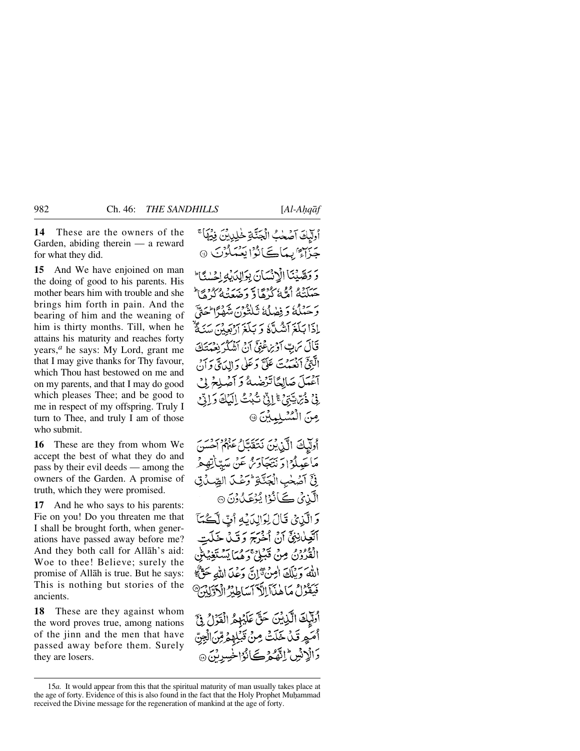**14** These are the owners of the Garden, abiding therein — a reward for what they did.

**15** And We have enjoined on man the doing of good to his parents. His mother bears him with trouble and she brings him forth in pain. And the bearing of him and the weaning of him is thirty months. Till, when he attains his maturity and reaches forty years,*<sup>a</sup>* he says: My Lord, grant me that I may give thanks for Thy favour, which Thou hast bestowed on me and on my parents, and that I may do good which pleases Thee; and be good to me in respect of my offspring. Truly I turn to Thee, and truly I am of those who submit.

**16** These are they from whom We accept the best of what they do and pass by their evil deeds — among the owners of the Garden. A promise of truth, which they were promised.

**17** And he who says to his parents: Fie on you! Do you threaten me that I shall be brought forth, when generations have passed away before me? And they both call for Allåh's aid: Woe to thee! Believe; surely the promise of Allåh is true. But he says: This is nothing but stories of the ancients.

**18** These are they against whom the word proves true, among nations of the jinn and the men that have passed away before them. Surely they are losers.

أولَّبِكَ آصۡحٰبُ الۡجَنَّـٰةِ خَٰلِيبِينَ فِيۡهَا ۚ جَزَاءٌ بِمَاكَانُوْا يَعْمَلُوْنَ دَ وَصَّبْنَا الْأَنْسَانَ بِوَالِدَرْ حَيَلَنَّهُ أَمَّةً كُنْهَادٌ وَصَعَنَهُ كُنْ مَا وَحَبْلُهُ وَ فِصٰلُهُ ثَلِيْثُونَ شَمْهَ ٗالْحَ إذَا بَلَغَ آَشُلَّهُ وَ بَلَغَ آرْبَعِيْنَ قَالَ يَرَبّ أَوْيِرَ عَنِيٌّ أَنْ أَشْكُرُ نِعْبُهُ الَّذِيَّ انْعَيْتَ عَلَّ دَعَلٰى دَالِدَيَّ دَ آغْدَلَ صَالِحًا تَزْضِيهُ وَ آَصْلِحْ فِيْ ذُبِّ يَّتِيْ ۚ إِنِّيْ شُبُثٌ إِلَيْكَ وَإِنِّيْ صِنَ الْمُسْلِمِينَ ۞

أُولَّيْكَ الَّذِيْنَ نَتَقَدَّلُ عَنْهُمْ أَحْسَنَ مَاتَحِيلُوْۤا وَنْتَجَاوَىٰٓ عَنْ سَيِّبَاٰتِهِمْ فِيٍّ آصُحٰبِ الْجَنَّةِ وَعَكَدَ الصِّدُقِ الَّذِي كَأَنُوْا يُؤْكَّدُونَ ۞ وَ الَّذِيْ قَالَ لِوَالِدَبَٰهِ أَنَّ لَّكُمَآ

آتَعِيْلِيْنِيِّ آنْ أَخْرَجَ دَ قَبْلُ خَلَت الْقُرُوْنُ مِنْ قَبْلِيْ وَهُمَا يَسْتَغِيُهِ اللهَ وَيُلَكَ اٰمِنۡ تَمَانَ وَعۡدَا اللَّهِ حَقٌّ ﴾ سُبْعِزْلُ مَا هٰذَآ الدَّ ٱساطِنُرُ 'أَدَّ لِهُمْ

أُولَيْكَ الَّذِينَ حَقَّ عَلَيْهِمُ الْقَوْلُ فِيَّ أَصَعِ قَدْ خَلَتْ مِنْ قَبْلِهِمْ مِّنَ الْجِنَّ دَالْإِنْسِ ۖ إِنَّهُمْ كَيَانُوْاخْسِدِيْنَ ۞

<sup>15</sup>*a.* It would appear from this that the spiritual maturity of man usually takes place at the age of forty. Evidence of this is also found in the fact that the Holy Prophet Muhammad received the Divine message for the regeneration of mankind at the age of forty.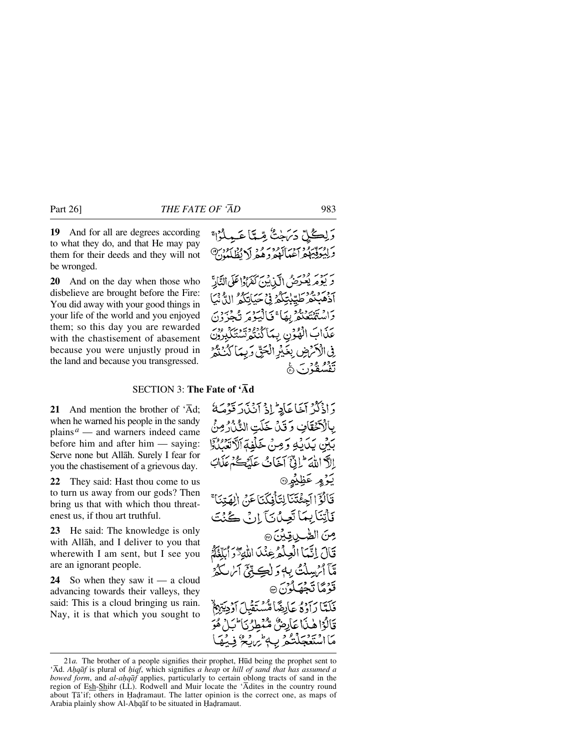**19** And for all are degrees according to what they do, and that He may pay them for their deeds and they will not be wronged.

**20** And on the day when those who disbelieve are brought before the Fire: You did away with your good things in your life of the world and you enjoyed them; so this day you are rewarded with the chastisement of abasement because you were unjustly proud in the land and because you transgressed.

# وَلِكُلِّ دَيَنَجْتُ مِّيًّا عَبِيلُوْا ۚ آغياكوديم ولايظلمون

كَفَرُدُدًا عَلَى النَّادَّ تَهْيَنْهُ مِينَ إِيَّ فَيَ أَيْبَوْمَ تَكْفُرُ كَنْنَكُمْ تَسْتَكَ عَذَابَ الْهُوْنِ بِيَمَا في الْأَمْرَضِ بِغَيْرِ الْجَقِّ وَبِيمَا َ دور ورب<br>تفسقون 6

### SECTION 3: **The Fate of 'Åd**

**21** And mention the brother of  $\overline{A}$ d: when he warned his people in the sandy plains  $a$  — and warners indeed came before him and after him — saying: Serve none but Allåh. Surely I fear for you the chastisement of a grievous day.

**22** They said: Hast thou come to us to turn us away from our gods? Then bring us that with which thou threatenest us, if thou art truthful.

**23** He said: The knowledge is only with Allåh, and I deliver to you that wherewith I am sent, but I see you are an ignorant people.

**24** So when they saw it — a cloud advancing towards their valleys, they said: This is a cloud bringing us rain. Nay, it is that which you sought to

دَ إِذْكُرْ آَخَا عَاْدِ ۖ إِذْ آَنُذَارَ قَوْصَهُ بِالْكَتْقَافِ وَقَلْ خَلَتِ النَّذُرُ مِنَّ بَيْنَ يَدَيْهِ وَمِنْ خَلْفِهِ ٱلْآتَيْنُ وَ إِلاَّ اللَّهَ ۖ إِنَّ آَخَانُ عَلَيْكُمْ مَ يَوْمٍ عَظِيْمٍ۞ قَالُوْٓ الْجِئْتَنَالِتَأْفِكَنَاعَنْ الْهَ فَأَتِنَا بِيمَا تَعِيدُ بَيْ إِنِّ كَيْنَتَ صِنَ الصَّبِ قِبْنَ ۞ قَالَ إِنَّيْمَا الْعِلْمُ عِنْدَمَا اللَّهَ تَزَرَ ٱيَلَّغُكُمُ مَّآ ٱمْ بِيلُتُّ بِهِ وَ لٰڪِ بِّيِّ آيٰنَ ٱ قَوْمًا تَحْصَلُوْنَ ۞ فَلَتَّا دَادْفُو بِمَادِهَهَا قَالُوْا هٰذَا عَاْدِحُنَّ مُّنْهُ مَااسْتَعْجَلْتُمْ بِ

<sup>21</sup>*a*. The brother of a people signifies their prophet, Hūd being the prophet sent to 'Åd. *A√qåf* is plural of *√iqf*, which signifies *a heap* or *hill of sand that has assumed a bowed form*, and *al-ahqāf* applies, particularly to certain oblong tracts of sand in the region of Esh-Shihr (LL). Rodwell and Muir locate the 'Ådites in the country round about Ta'if; others in Hadramaut. The latter opinion is the correct one, as maps of Arabia plainly show Al-Ahqāf to be situated in Hadramaut.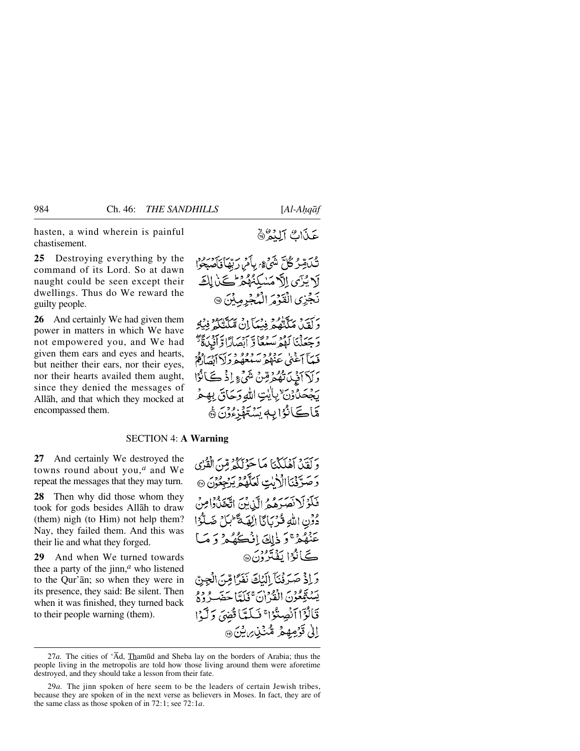hasten, a wind wherein is painful chastisement.

**25** Destroying everything by the command of its Lord. So at dawn naught could be seen except their dwellings. Thus do We reward the guilty people.

**26** And certainly We had given them power in matters in which We have not empowered you, and We had given them ears and eyes and hearts, but neither their ears, nor their eyes, nor their hearts availed them aught, since they denied the messages of Allåh, and that which they mocked at encompassed them.

تَكْدَمِّرُكُلَّ شَيْءٍ، بِأَمْرِ رَبِّهَا فَأَصْبَحُوا لَا يُزَى إِلَّا مَسْكِنُهُمْ كَانَ لِكَ نَجَزِي الْقَوْمَ الْمُجْرِمِيْنَ ۞

*جِهَةٍ مِنَّةٌ وَجِهَّا إِنْ مَكَ*تَّتُكُمْ فِيَةِ ئەسردىن ئورسىدى دېرى ئەسرىدىن كېيىنى كېيىنى كېيىنى كېيىنى كېيىنى كېيىنى كېيىنى كېيىنى كېيىنى ئۇ كېيىن كېيىن كې حَيِّباً آغَنِي عَنْهُمْ سَيُعُهُمْ دِينَ بِنَ كَفَرْهُمْ دَلَا أَفْيِدَتْهُمُ قِينٌ شَيْءٍ إِذْ ݣَانُوْا يَجْحَدُوْنَ بِأَيْتِ اللَّهِ وَحَاقَ بِهِعْ مَّاڪَانُوْا بِهِ سَنَهْزِءُوْنَ ۞

#### SECTION 4: **A Warning**

**27** And certainly We destroyed the towns round about you,*<sup>a</sup>* and We repeat the messages that they may turn.

**28** Then why did those whom they took for gods besides Allåh to draw (them) nigh (to Him) not help them? Nay, they failed them. And this was their lie and what they forged.

**29** And when We turned towards thee a party of the jinn,*<sup>a</sup>* who listened to the Qur'ån; so when they were in its presence, they said: Be silent. Then when it was finished, they turned back to their people warning (them).

دَ كَفَيْدٌ أَهْلَكُنَّا مَا حَوْلَكُمْ مِّنَ الْقُرْي دَ صَدَّقْنَا الْأَيْتِ لَعَلَّهُمْ يَرْجِعُنَ @ فَكَوْلَانَصَرْهُمُ الَّذِينَ اتَّخَذُوْامِنُ دُوَّنِ اللَّهِ قُرْبَانَا الِهَةَ َّبْلَ ضَلَّوُا عَنْهُمْ ۚ وَ ذٰلِكَ إِنۡكُمُكُمۡ وَ مَبَا ڪَانُوُا يَفْتَرُونَ@ وَ إِذْ صَرَفْنَآ إِلَيْكَ نَفَرًا مِّنَ الْجِنِّ يَسْتَمْعُوْنَ الْفُرْنَ ۚ فَلَدَّأَ حَضَـرُوْهُ قَالُوْٓا ٱنْصِنُوْا ۚ فَىلَمَّاْ قُضِىَ وَلَّوْا الى قَرْمِهِمْ مُّنْذِينِ يْنَ @

<sup>27</sup>*a*. The cities of 'Ād, Thamūd and Sheba lay on the borders of Arabia; thus the people living in the metropolis are told how those living around them were aforetime destroyed, and they should take a lesson from their fate.

<sup>29</sup>*a.* The jinn spoken of here seem to be the leaders of certain Jewish tribes, because they are spoken of in the next verse as believers in Moses. In fact, they are of the same class as those spoken of in 72:1; see 72:1*a*.